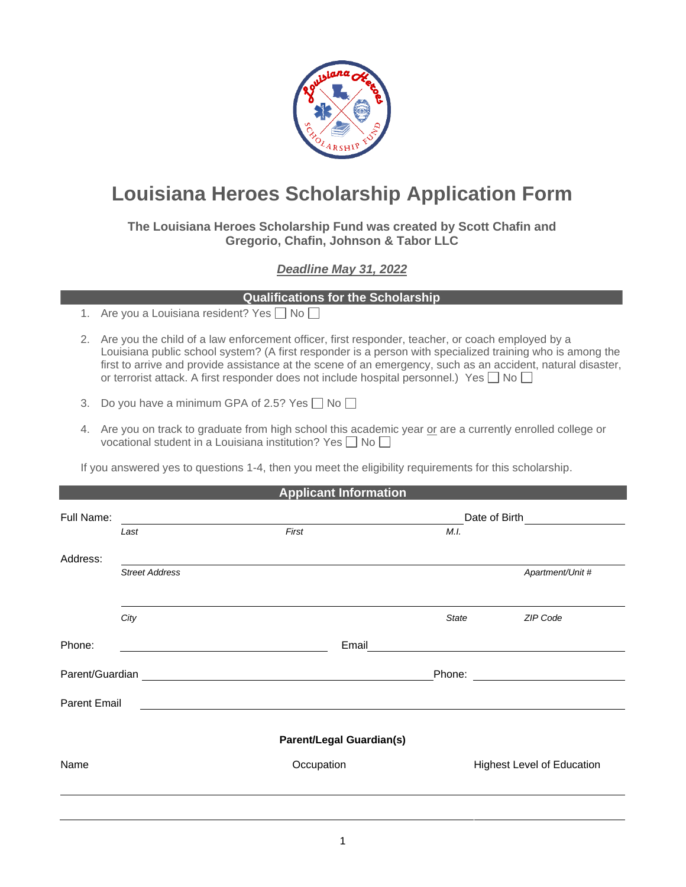

## **Louisiana Heroes Scholarship Application Form**

**The Louisiana Heroes Scholarship Fund was created by Scott Chafin and Gregorio, Chafin, Johnson & Tabor LLC**

## *Deadline May 31, 2022*

## **Qualifications for the Scholarship**

- 1. Are you a Louisiana resident? Yes  $\Box$  No  $\Box$
- 2. Are you the child of a law enforcement officer, first responder, teacher, or coach employed by a Louisiana public school system? (A first responder is a person with specialized training who is among the first to arrive and provide assistance at the scene of an emergency, such as an accident, natural disaster, or terrorist attack. A first responder does not include hospital personnel.) Yes  $\Box$  No  $\Box$
- 3. Do you have a minimum GPA of 2.5? Yes  $\Box$  No  $\Box$
- 4. Are you on track to graduate from high school this academic year or are a currently enrolled college or vocational student in a Louisiana institution? Yes  $\Box$  No  $\Box$

If you answered yes to questions 1-4, then you meet the eligibility requirements for this scholarship.

| <b>Applicant Information</b> |                       |                                                                                                                       |                                                 |                                   |  |  |  |
|------------------------------|-----------------------|-----------------------------------------------------------------------------------------------------------------------|-------------------------------------------------|-----------------------------------|--|--|--|
| Full Name:                   |                       |                                                                                                                       |                                                 |                                   |  |  |  |
|                              | Last                  | First                                                                                                                 | M.I.                                            |                                   |  |  |  |
| Address:                     |                       |                                                                                                                       |                                                 |                                   |  |  |  |
|                              | <b>Street Address</b> |                                                                                                                       |                                                 | Apartment/Unit #                  |  |  |  |
|                              |                       |                                                                                                                       |                                                 |                                   |  |  |  |
|                              | City                  |                                                                                                                       | <b>State</b>                                    | ZIP Code                          |  |  |  |
| Phone:                       |                       |                                                                                                                       | Email <u>__________________________________</u> |                                   |  |  |  |
| Parent/Guardian              |                       | <u> 1989 - Johann Stein, mars and de Branch and de Branch and de Branch and de Branch and de Branch and de Branch</u> |                                                 |                                   |  |  |  |
| <b>Parent Email</b>          |                       |                                                                                                                       |                                                 |                                   |  |  |  |
|                              |                       | <b>Parent/Legal Guardian(s)</b>                                                                                       |                                                 |                                   |  |  |  |
| Name                         |                       | Occupation                                                                                                            |                                                 | <b>Highest Level of Education</b> |  |  |  |
|                              |                       |                                                                                                                       |                                                 |                                   |  |  |  |
|                              |                       |                                                                                                                       |                                                 |                                   |  |  |  |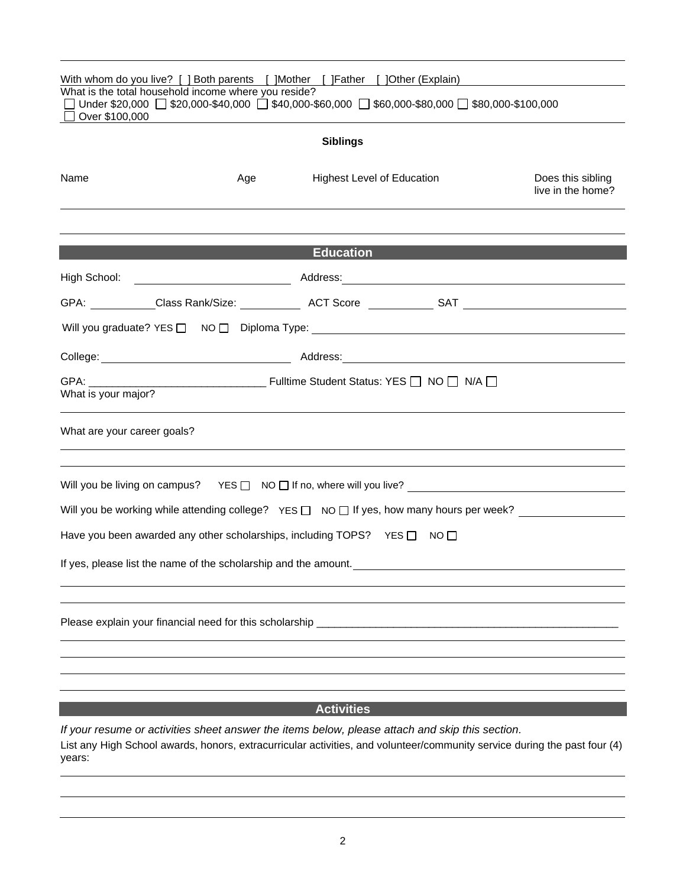| With whom do you live? [ ] Both parents [ ] Mother [ ] Father [ ] Other (Explain)                                                                                                             |     |                                   |  |                                        |  |  |  |
|-----------------------------------------------------------------------------------------------------------------------------------------------------------------------------------------------|-----|-----------------------------------|--|----------------------------------------|--|--|--|
| What is the total household income where you reside?<br>Under \$20,000 $\Box$ \$20,000-\$40,000 $\Box$ \$40,000-\$60,000 $\Box$ \$60,000-\$80,000 $\Box$ \$80,000-\$100,000<br>Over \$100,000 |     |                                   |  |                                        |  |  |  |
| <b>Siblings</b>                                                                                                                                                                               |     |                                   |  |                                        |  |  |  |
| Name                                                                                                                                                                                          | Age | <b>Highest Level of Education</b> |  | Does this sibling<br>live in the home? |  |  |  |
|                                                                                                                                                                                               |     | <b>Education</b>                  |  |                                        |  |  |  |
|                                                                                                                                                                                               |     |                                   |  |                                        |  |  |  |
|                                                                                                                                                                                               |     |                                   |  |                                        |  |  |  |
|                                                                                                                                                                                               |     |                                   |  |                                        |  |  |  |
|                                                                                                                                                                                               |     |                                   |  |                                        |  |  |  |
| What is your major?                                                                                                                                                                           |     |                                   |  |                                        |  |  |  |
| What are your career goals?                                                                                                                                                                   |     |                                   |  |                                        |  |  |  |
|                                                                                                                                                                                               |     |                                   |  |                                        |  |  |  |
| Will you be working while attending college? YES $\square$ NO $\square$ If yes, how many hours per week?                                                                                      |     |                                   |  |                                        |  |  |  |
| Have you been awarded any other scholarships, including TOPS? YES $\Box$ NO $\Box$                                                                                                            |     |                                   |  |                                        |  |  |  |
| If yes, please list the name of the scholarship and the amount.                                                                                                                               |     |                                   |  |                                        |  |  |  |
| Please explain your financial need for this scholarship                                                                                                                                       |     |                                   |  |                                        |  |  |  |
|                                                                                                                                                                                               |     |                                   |  |                                        |  |  |  |
|                                                                                                                                                                                               |     | <b>Activities</b>                 |  |                                        |  |  |  |
| If your resume or activities sheet answer the items below, please attach and skip this section.                                                                                               |     |                                   |  |                                        |  |  |  |

List any High School awards, honors, extracurricular activities, and volunteer/community service during the past four (4) years: